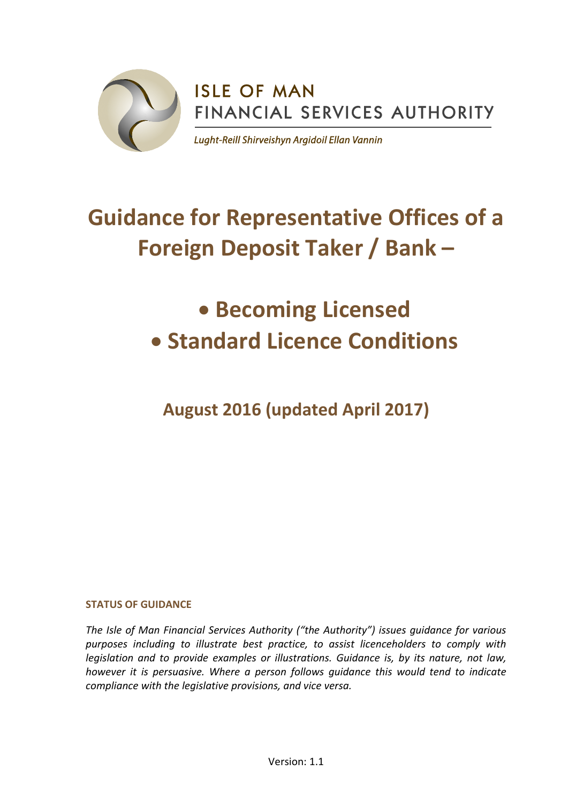

**ISLE OF MAN** FINANCIAL SERVICES AUTHORITY

Lught-Reill Shirveishyn Argidoil Ellan Vannin

# **Guidance for Representative Offices of a Foreign Deposit Taker / Bank –**

## **Becoming Licensed Standard Licence Conditions**

**August 2016 (updated April 2017)**

## **STATUS OF GUIDANCE**

*The Isle of Man Financial Services Authority ("the Authority") issues guidance for various purposes including to illustrate best practice, to assist licenceholders to comply with legislation and to provide examples or illustrations. Guidance is, by its nature, not law, however it is persuasive. Where a person follows guidance this would tend to indicate compliance with the legislative provisions, and vice versa.*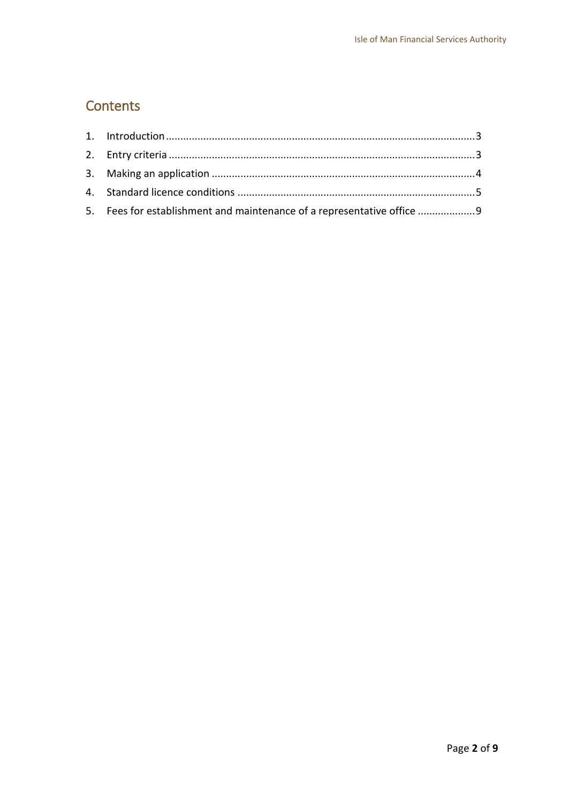## **Contents**

<span id="page-1-0"></span>

| 5. Fees for establishment and maintenance of a representative office 9 |  |
|------------------------------------------------------------------------|--|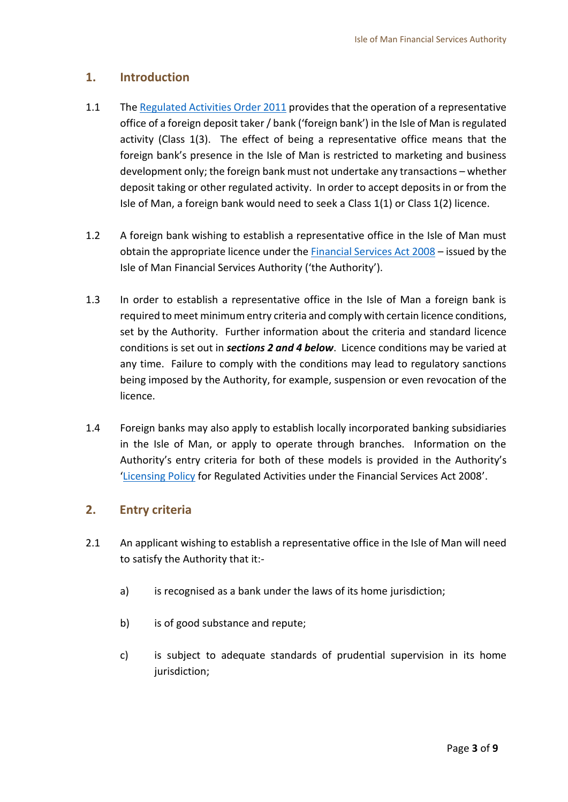## **1. Introduction**

- 1.1 Th[e Regulated Activities Order 2011](http://www.iomfsa.im/lib/docs/iomfsa/consultations/regulatedactivitiesorder2011.pdf) provides that the operation of a representative office of a foreign deposit taker / bank ('foreign bank') in the Isle of Man isregulated activity (Class 1(3). The effect of being a representative office means that the foreign bank's presence in the Isle of Man is restricted to marketing and business development only; the foreign bank must not undertake any transactions – whether deposit taking or other regulated activity. In order to accept deposits in or from the Isle of Man, a foreign bank would need to seek a Class 1(1) or Class 1(2) licence.
- 1.2 A foreign bank wishing to establish a representative office in the Isle of Man must obtain the appropriate licence under the [Financial Services Act 2008](http://www.gov.im/lib/docs/iomfsa/financialservicesact2008.pdf) – issued by the Isle of Man Financial Services Authority ('the Authority').
- 1.3 In order to establish a representative office in the Isle of Man a foreign bank is required to meet minimum entry criteria and comply with certain licence conditions, set by the Authority. Further information about the criteria and standard licence conditions is set out in *sections 2 and 4 below*. Licence conditions may be varied at any time. Failure to comply with the conditions may lead to regulatory sanctions being imposed by the Authority, for example, suspension or even revocation of the licence.
- 1.4 Foreign banks may also apply to establish locally incorporated banking subsidiaries in the Isle of Man, or apply to operate through branches. Information on the Authority's entry criteria for both of these models is provided in the Authority's '[Licensing Policy](http://www.gov.im/lib/docs/iomfsa/fsa08licensingpolicy.doc) for Regulated Activities under the Financial Services Act 2008'.

## <span id="page-2-0"></span>**2. Entry criteria**

- 2.1 An applicant wishing to establish a representative office in the Isle of Man will need to satisfy the Authority that it:
	- a) is recognised as a bank under the laws of its home jurisdiction;
	- b) is of good substance and repute;
	- c) is subject to adequate standards of prudential supervision in its home jurisdiction;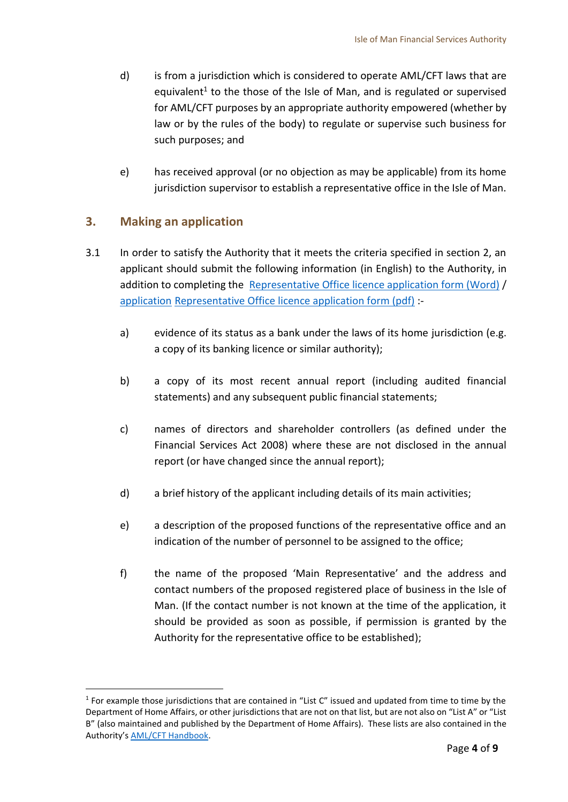- d) is from a jurisdiction which is considered to operate AML/CFT laws that are equivalent<sup>1</sup> to the those of the Isle of Man, and is regulated or supervised for AML/CFT purposes by an appropriate authority empowered (whether by law or by the rules of the body) to regulate or supervise such business for such purposes; and
- e) has received approval (or no objection as may be applicable) from its home jurisdiction supervisor to establish a representative office in the Isle of Man.

## <span id="page-3-0"></span>**3. Making an application**

 $\overline{a}$ 

- 3.1 In order to satisfy the Authority that it meets the criteria specified in section 2, an applicant should submit the following information (in English) to the Authority, in addition to completing the [Representative Office licence application form \(Word\)](http://www.iomfsa.im/lib/docs/iomfsa/LicenceAppForms/licenceapplicationformclass13.doc) / application Representative Office [licence application form \(pdf\)](http://www.iomfsa.im/lib/docs/iomfsa/LicenceAppForms/licenceapplicationformclass13.pdf) :
	- a) evidence of its status as a bank under the laws of its home jurisdiction (e.g. a copy of its banking licence or similar authority);
	- b) a copy of its most recent annual report (including audited financial statements) and any subsequent public financial statements;
	- c) names of directors and shareholder controllers (as defined under the Financial Services Act 2008) where these are not disclosed in the annual report (or have changed since the annual report);
	- d) a brief history of the applicant including details of its main activities;
	- e) a description of the proposed functions of the representative office and an indication of the number of personnel to be assigned to the office;
	- f) the name of the proposed 'Main Representative' and the address and contact numbers of the proposed registered place of business in the Isle of Man. (If the contact number is not known at the time of the application, it should be provided as soon as possible, if permission is granted by the Authority for the representative office to be established);

 $<sup>1</sup>$  For example those jurisdictions that are contained in "List C" issued and updated from time to time by the</sup> Department of Home Affairs, or other jurisdictions that are not on that list, but are not also on "List A" or "List B" (also maintained and published by the Department of Home Affairs). These lists are also contained in the Authority's [AML/CFT Handbook.](http://www.iomfsa.im/handbooks/guides/AML/amlcfthandbook.xml?menuid=25729)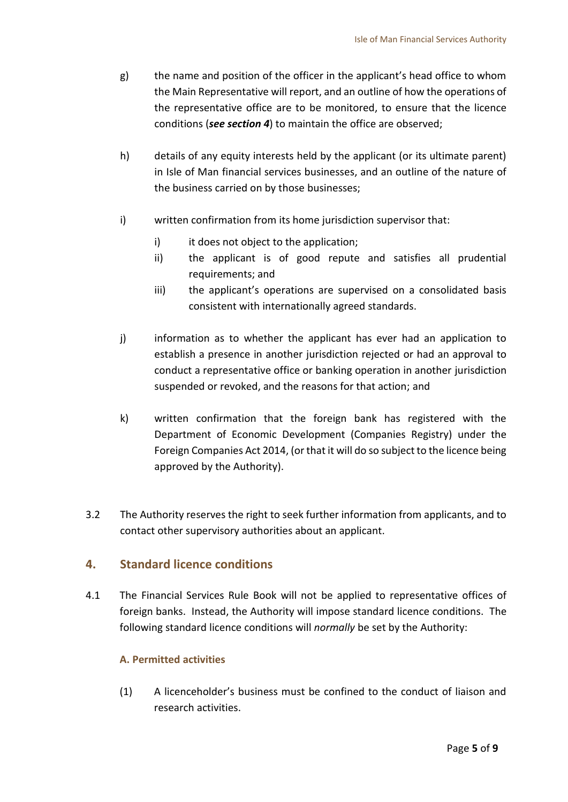- g) the name and position of the officer in the applicant's head office to whom the Main Representative will report, and an outline of how the operations of the representative office are to be monitored, to ensure that the licence conditions (*see section 4*) to maintain the office are observed;
- h) details of any equity interests held by the applicant (or its ultimate parent) in Isle of Man financial services businesses, and an outline of the nature of the business carried on by those businesses;
- i) written confirmation from its home jurisdiction supervisor that:
	- i) it does not object to the application;
	- ii) the applicant is of good repute and satisfies all prudential requirements; and
	- iii) the applicant's operations are supervised on a consolidated basis consistent with internationally agreed standards.
- j) information as to whether the applicant has ever had an application to establish a presence in another jurisdiction rejected or had an approval to conduct a representative office or banking operation in another jurisdiction suspended or revoked, and the reasons for that action; and
- k) written confirmation that the foreign bank has registered with the Department of Economic Development (Companies Registry) under the Foreign Companies Act 2014, (or that it will do so subject to the licence being approved by the Authority).
- 3.2 The Authority reserves the right to seek further information from applicants, and to contact other supervisory authorities about an applicant.

## <span id="page-4-0"></span>**4. Standard licence conditions**

4.1 The Financial Services Rule Book will not be applied to representative offices of foreign banks. Instead, the Authority will impose standard licence conditions. The following standard licence conditions will *normally* be set by the Authority:

## **A. Permitted activities**

(1) A licenceholder's business must be confined to the conduct of liaison and research activities.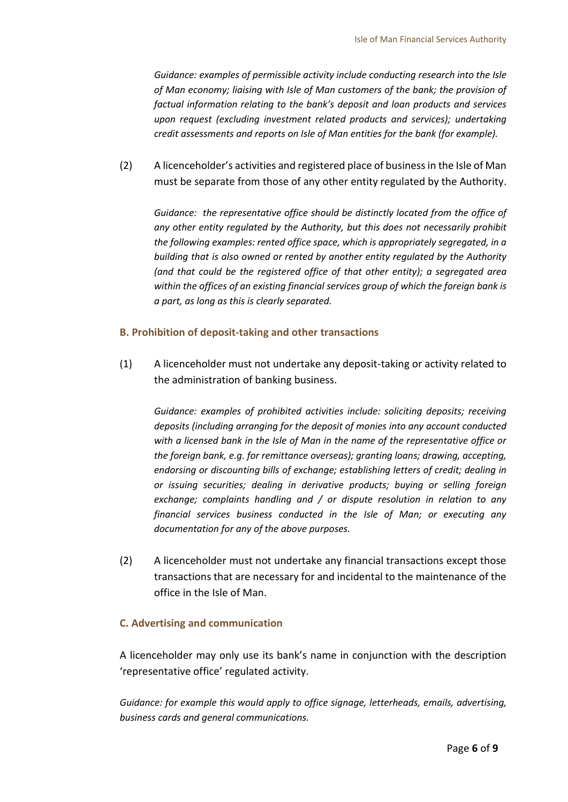*Guidance: examples of permissible activity include conducting research into the Isle of Man economy; liaising with Isle of Man customers of the bank; the provision of factual information relating to the bank's deposit and loan products and services upon request (excluding investment related products and services); undertaking credit assessments and reports on Isle of Man entities for the bank (for example).*

(2) A licenceholder's activities and registered place of businessin the Isle of Man must be separate from those of any other entity regulated by the Authority.

*Guidance: the representative office should be distinctly located from the office of any other entity regulated by the Authority, but this does not necessarily prohibit the following examples: rented office space, which is appropriately segregated, in a building that is also owned or rented by another entity regulated by the Authority (and that could be the registered office of that other entity); a segregated area within the offices of an existing financial services group of which the foreign bank is a part, as long as this is clearly separated.*

#### **B. Prohibition of deposit-taking and other transactions**

(1) A licenceholder must not undertake any deposit-taking or activity related to the administration of banking business.

*Guidance: examples of prohibited activities include: soliciting deposits; receiving deposits (including arranging for the deposit of monies into any account conducted with a licensed bank in the Isle of Man in the name of the representative office or the foreign bank, e.g. for remittance overseas); granting loans; drawing, accepting, endorsing or discounting bills of exchange; establishing letters of credit; dealing in or issuing securities; dealing in derivative products; buying or selling foreign exchange; complaints handling and / or dispute resolution in relation to any financial services business conducted in the Isle of Man; or executing any documentation for any of the above purposes.*

(2) A licenceholder must not undertake any financial transactions except those transactions that are necessary for and incidental to the maintenance of the office in the Isle of Man.

#### **C. Advertising and communication**

A licenceholder may only use its bank's name in conjunction with the description 'representative office' regulated activity.

*Guidance: for example this would apply to office signage, letterheads, emails, advertising, business cards and general communications.*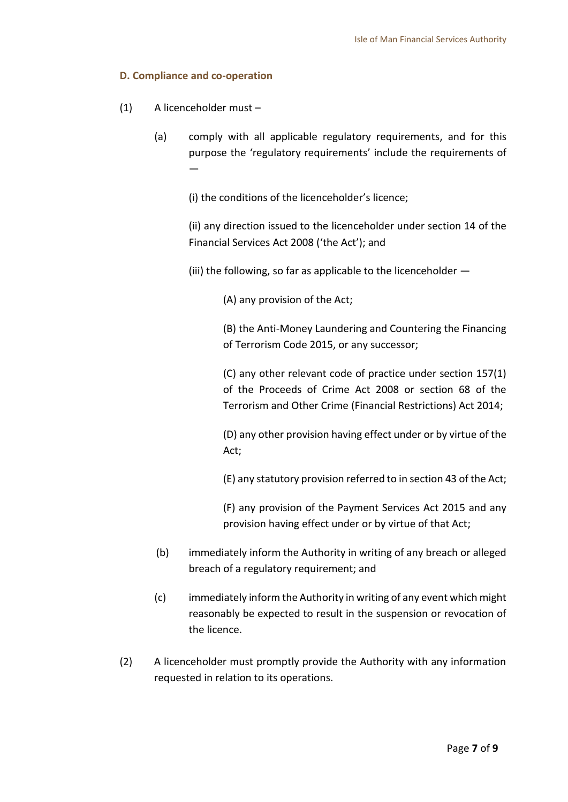#### **D. Compliance and co-operation**

- (1) A licenceholder must
	- (a) comply with all applicable regulatory requirements, and for this purpose the 'regulatory requirements' include the requirements of —

(i) the conditions of the licenceholder's licence;

(ii) any direction issued to the licenceholder under section 14 of the Financial Services Act 2008 ('the Act'); and

(iii) the following, so far as applicable to the licenceholder —

(A) any provision of the Act;

(B) the Anti-Money Laundering and Countering the Financing of Terrorism Code 2015, or any successor;

(C) any other relevant code of practice under section 157(1) of the Proceeds of Crime Act 2008 or section 68 of the Terrorism and Other Crime (Financial Restrictions) Act 2014;

(D) any other provision having effect under or by virtue of the Act;

(E) any statutory provision referred to in section 43 of the Act;

(F) any provision of the Payment Services Act 2015 and any provision having effect under or by virtue of that Act;

- (b) immediately inform the Authority in writing of any breach or alleged breach of a regulatory requirement; and
- (c) immediately inform the Authority in writing of any event which might reasonably be expected to result in the suspension or revocation of the licence.
- (2) A licenceholder must promptly provide the Authority with any information requested in relation to its operations.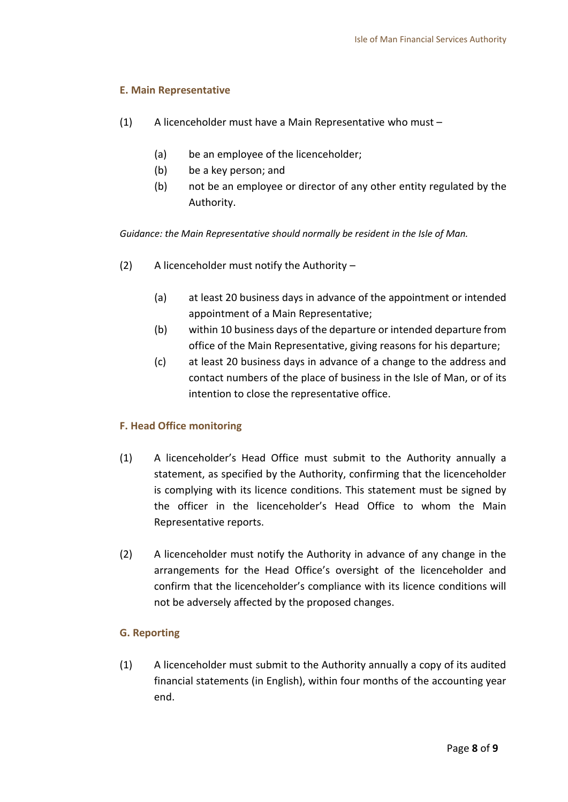#### **E. Main Representative**

- (1) A licenceholder must have a Main Representative who must
	- (a) be an employee of the licenceholder;
	- (b) be a key person; and
	- (b) not be an employee or director of any other entity regulated by the Authority.

*Guidance: the Main Representative should normally be resident in the Isle of Man.*

- (2) A licenceholder must notify the Authority
	- (a) at least 20 business days in advance of the appointment or intended appointment of a Main Representative;
	- (b) within 10 business days of the departure or intended departure from office of the Main Representative, giving reasons for his departure;
	- (c) at least 20 business days in advance of a change to the address and contact numbers of the place of business in the Isle of Man, or of its intention to close the representative office.

#### **F. Head Office monitoring**

- (1) A licenceholder's Head Office must submit to the Authority annually a statement, as specified by the Authority, confirming that the licenceholder is complying with its licence conditions. This statement must be signed by the officer in the licenceholder's Head Office to whom the Main Representative reports.
- (2) A licenceholder must notify the Authority in advance of any change in the arrangements for the Head Office's oversight of the licenceholder and confirm that the licenceholder's compliance with its licence conditions will not be adversely affected by the proposed changes.

## **G. Reporting**

(1) A licenceholder must submit to the Authority annually a copy of its audited financial statements (in English), within four months of the accounting year end.